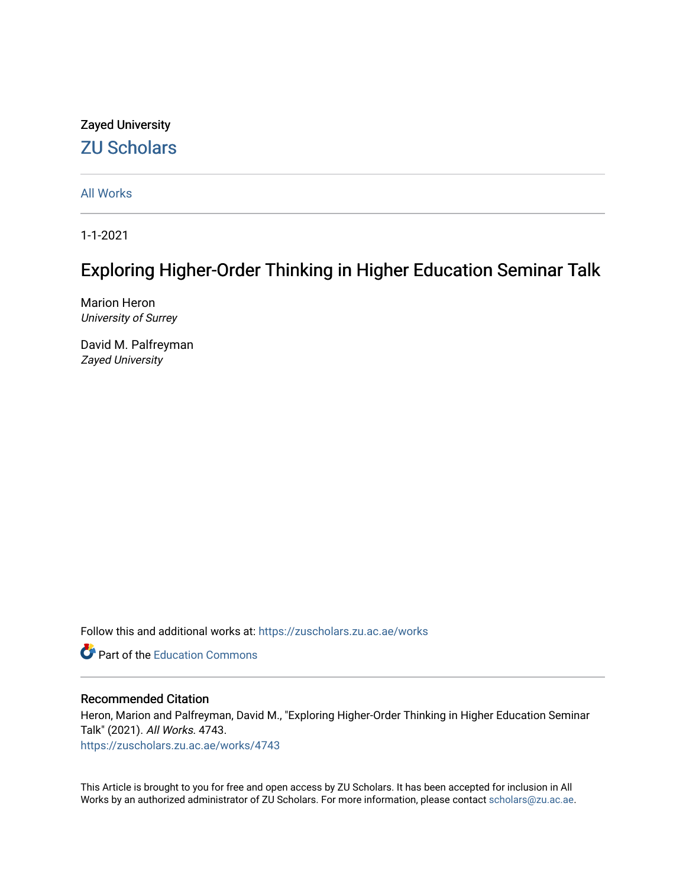# Zayed University [ZU Scholars](https://zuscholars.zu.ac.ae/)

[All Works](https://zuscholars.zu.ac.ae/works)

1-1-2021

# Exploring Higher-Order Thinking in Higher Education Seminar Talk

Marion Heron University of Surrey

David M. Palfreyman Zayed University

Follow this and additional works at: [https://zuscholars.zu.ac.ae/works](https://zuscholars.zu.ac.ae/works?utm_source=zuscholars.zu.ac.ae%2Fworks%2F4743&utm_medium=PDF&utm_campaign=PDFCoverPages)

**C** Part of the [Education Commons](http://network.bepress.com/hgg/discipline/784?utm_source=zuscholars.zu.ac.ae%2Fworks%2F4743&utm_medium=PDF&utm_campaign=PDFCoverPages)

# Recommended Citation

Heron, Marion and Palfreyman, David M., "Exploring Higher-Order Thinking in Higher Education Seminar Talk" (2021). All Works. 4743.

[https://zuscholars.zu.ac.ae/works/4743](https://zuscholars.zu.ac.ae/works/4743?utm_source=zuscholars.zu.ac.ae%2Fworks%2F4743&utm_medium=PDF&utm_campaign=PDFCoverPages)

This Article is brought to you for free and open access by ZU Scholars. It has been accepted for inclusion in All Works by an authorized administrator of ZU Scholars. For more information, please contact [scholars@zu.ac.ae](mailto:scholars@zu.ac.ae).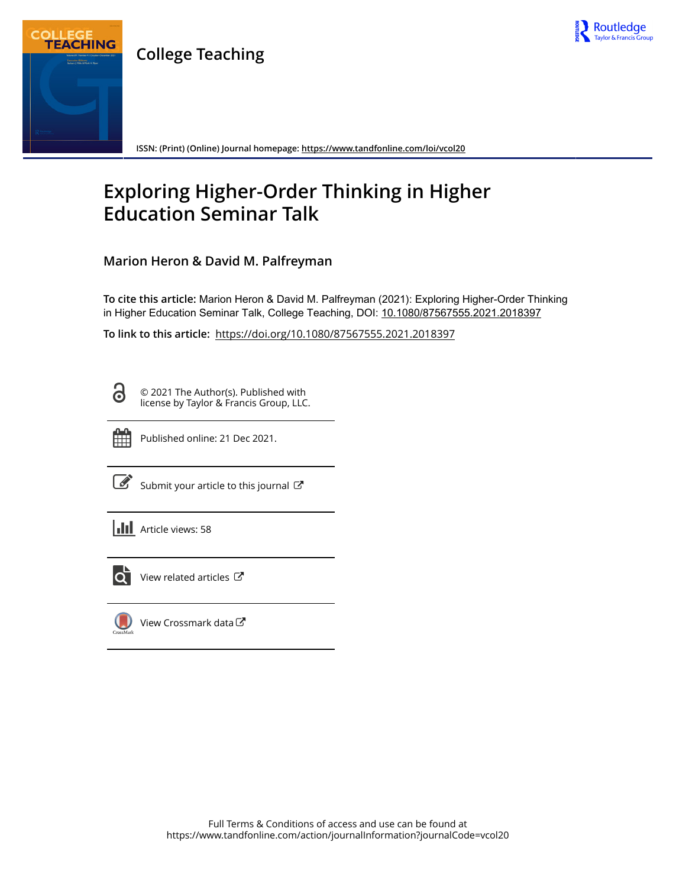

**College Teaching**



**ISSN: (Print) (Online) Journal homepage:<https://www.tandfonline.com/loi/vcol20>**

# **Exploring Higher-Order Thinking in Higher Education Seminar Talk**

**Marion Heron & David M. Palfreyman**

**To cite this article:** Marion Heron & David M. Palfreyman (2021): Exploring Higher-Order Thinking in Higher Education Seminar Talk, College Teaching, DOI: [10.1080/87567555.2021.2018397](https://www.tandfonline.com/action/showCitFormats?doi=10.1080/87567555.2021.2018397)

**To link to this article:** <https://doi.org/10.1080/87567555.2021.2018397>

6

© 2021 The Author(s). Published with license by Taylor & Francis Group, LLC.



Published online: 21 Dec 2021.

 $\overrightarrow{S}$  [Submit your article to this journal](https://www.tandfonline.com/action/authorSubmission?journalCode=vcol20&show=instructions)  $G$ 

| <b>III</b> Article views: 58 |
|------------------------------|
|                              |



 $\overrightarrow{Q}$  [View related articles](https://www.tandfonline.com/doi/mlt/10.1080/87567555.2021.2018397)  $\overrightarrow{C}$ 



[View Crossmark data](http://crossmark.crossref.org/dialog/?doi=10.1080/87567555.2021.2018397&domain=pdf&date_stamp=2021-12-21)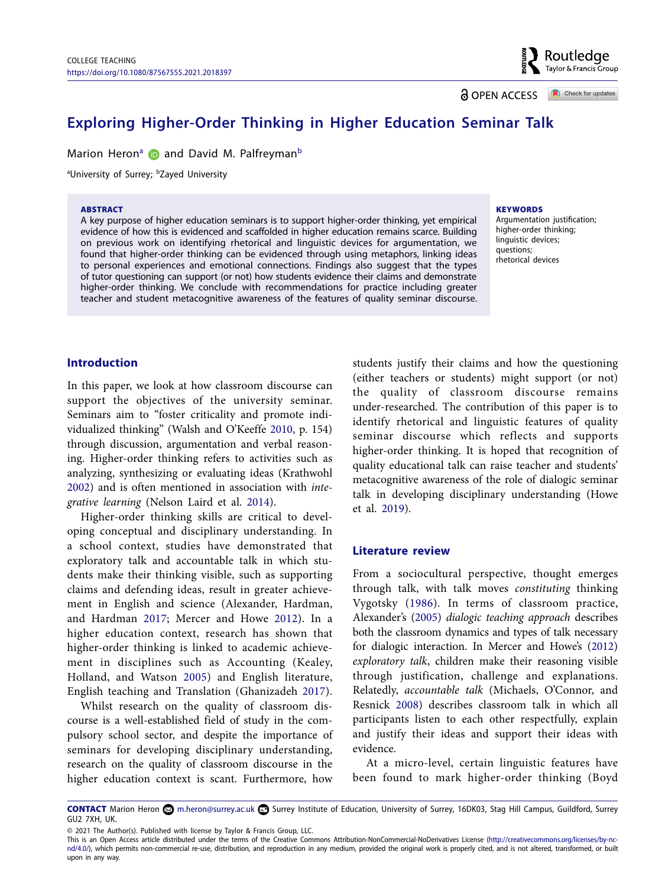Routledge Taylor & Francis Group

<u>ခါ</u> OPEN ACCESS

Check for updates

# **Exploring Higher-Order Thinking in Higher Education Seminar Talk**

M[a](#page-2-0)rionHeron<sup>a</sup> **D** and David M. Palfreyman<sup>[b](#page-2-1)</sup>

<span id="page-2-1"></span><span id="page-2-0"></span>aUniversity of Surrey; bZayed University

#### ABSTRACT

A key purpose of higher education seminars is to support higher-order thinking, yet empirical evidence of how this is evidenced and scaffolded in higher education remains scarce. Building on previous work on identifying rhetorical and linguistic devices for argumentation, we found that higher-order thinking can be evidenced through using metaphors, linking ideas to personal experiences and emotional connections. Findings also suggest that the types of tutor questioning can support (or not) how students evidence their claims and demonstrate higher-order thinking. We conclude with recommendations for practice including greater teacher and student metacognitive awareness of the features of quality seminar discourse.

#### **KEYWORDS**

Araumentation justification; higher-order thinking; linguistic devices; questions; rhetorical devices

# **Introduction**

<span id="page-2-11"></span>In this paper, we look at how classroom discourse can support the objectives of the university seminar. Seminars aim to "foster criticality and promote individualized thinking" (Walsh and O'Keeffe [2010](#page-9-0), p. 154) through discussion, argumentation and verbal reasoning. Higher-order thinking refers to activities such as analyzing, synthesizing or evaluating ideas (Krathwohl [2002](#page-8-0)) and is often mentioned in association with *integrative learning* (Nelson Laird et al. [2014\)](#page-9-1).

<span id="page-2-10"></span><span id="page-2-7"></span>Higher-order thinking skills are critical to developing conceptual and disciplinary understanding. In a school context, studies have demonstrated that exploratory talk and accountable talk in which students make their thinking visible, such as supporting claims and defending ideas, result in greater achievement in English and science (Alexander, Hardman, and Hardman [2017](#page-8-1); Mercer and Howe [2012\)](#page-9-2). In a higher education context, research has shown that higher-order thinking is linked to academic achievement in disciplines such as Accounting (Kealey, Holland, and Watson [2005\)](#page-8-2) and English literature, English teaching and Translation (Ghanizadeh [2017\)](#page-8-3).

<span id="page-2-6"></span><span id="page-2-4"></span><span id="page-2-2"></span>Whilst research on the quality of classroom discourse is a well-established field of study in the compulsory school sector, and despite the importance of seminars for developing disciplinary understanding, research on the quality of classroom discourse in the higher education context is scant. Furthermore, how

students justify their claims and how the questioning (either teachers or students) might support (or not) the quality of classroom discourse remains under-researched. The contribution of this paper is to identify rhetorical and linguistic features of quality seminar discourse which reflects and supports higher-order thinking. It is hoped that recognition of quality educational talk can raise teacher and students' metacognitive awareness of the role of dialogic seminar talk in developing disciplinary understanding (Howe et al. [2019](#page-8-4)).

## <span id="page-2-5"></span>**Literature review**

<span id="page-2-12"></span><span id="page-2-8"></span><span id="page-2-3"></span>From a sociocultural perspective, thought emerges through talk, with talk moves *constituting* thinking Vygotsky ([1986\)](#page-9-3). In terms of classroom practice, Alexander's ([2005\)](#page-8-5) *dialogic teaching approach* describes both the classroom dynamics and types of talk necessary for dialogic interaction. In Mercer and Howe's [\(2012](#page-9-4)) *exploratory talk*, children make their reasoning visible through justification, challenge and explanations. Relatedly, *accountable talk* (Michaels, O'Connor, and Resnick [2008\)](#page-9-5) describes classroom talk in which all participants listen to each other respectfully, explain and justify their ideas and support their ideas with evidence.

<span id="page-2-9"></span>At a micro-level, certain linguistic features have been found to mark higher-order thinking (Boyd

© 2021 The Author(s). Published with license by Taylor & Francis Group, LLC.

CONTACT Marion Heron **S**[m.heron@surrey.ac.uk](mailto:m.heron@surrey.ac.uk) **co** Surrey Institute of Education, University of Surrey, 16DK03, Stag Hill Campus, Guildford, Surrey GU2 7XH, UK.

This is an Open Access article distributed under the terms of the Creative Commons Attribution-NonCommercial-NoDerivatives License ([http://creativecommons.org/licenses/by-nc](http://creativecommons.org/licenses/by-nc-nd/4.0/)[nd/4.0/](http://creativecommons.org/licenses/by-nc-nd/4.0/)), which permits non-commercial re-use, distribution, and reproduction in any medium, provided the original work is properly cited, and is not altered, transformed, or built upon in any way.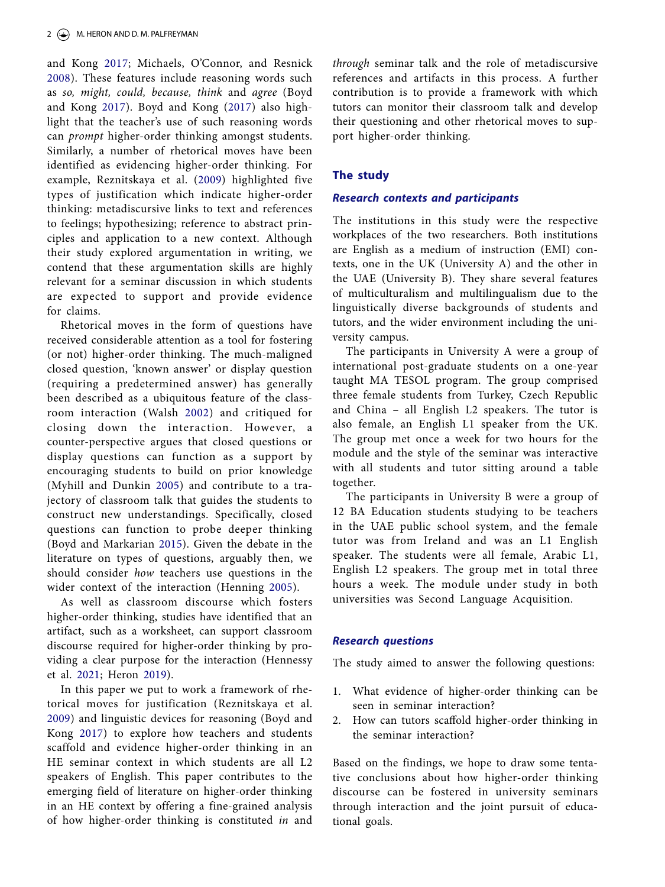<span id="page-3-6"></span><span id="page-3-1"></span>and Kong [2017](#page-8-6); Michaels, O'Connor, and Resnick [2008](#page-9-5)). These features include reasoning words such as *so, might, could, because, think* and *agree* (Boyd and Kong [2017](#page-8-6)). Boyd and Kong ([2017\)](#page-8-6) also highlight that the teacher's use of such reasoning words can *prompt* higher-order thinking amongst students. Similarly, a number of rhetorical moves have been identified as evidencing higher-order thinking. For example, Reznitskaya et al. ([2009\)](#page-9-6) highlighted five types of justification which indicate higher-order thinking: metadiscursive links to text and references to feelings; hypothesizing; reference to abstract principles and application to a new context. Although their study explored argumentation in writing, we contend that these argumentation skills are highly relevant for a seminar discussion in which students are expected to support and provide evidence for claims.

<span id="page-3-7"></span>Rhetorical moves in the form of questions have received considerable attention as a tool for fostering (or not) higher-order thinking. The much-maligned closed question, 'known answer' or display question (requiring a predetermined answer) has generally been described as a ubiquitous feature of the classroom interaction (Walsh [2002\)](#page-9-7) and critiqued for closing down the interaction. However, a counter-perspective argues that closed questions or display questions can function as a support by encouraging students to build on prior knowledge (Myhill and Dunkin [2005](#page-9-8)) and contribute to a trajectory of classroom talk that guides the students to construct new understandings. Specifically, closed questions can function to probe deeper thinking (Boyd and Markarian [2015\)](#page-8-7). Given the debate in the literature on types of questions, arguably then, we should consider *how* teachers use questions in the wider context of the interaction (Henning [2005\)](#page-8-8).

<span id="page-3-5"></span><span id="page-3-3"></span><span id="page-3-0"></span>As well as classroom discourse which fosters higher-order thinking, studies have identified that an artifact, such as a worksheet, can support classroom discourse required for higher-order thinking by providing a clear purpose for the interaction (Hennessy et al. [2021](#page-8-9); Heron [2019\)](#page-8-10).

<span id="page-3-4"></span><span id="page-3-2"></span>In this paper we put to work a framework of rhetorical moves for justification (Reznitskaya et al. [2009\)](#page-9-6) and linguistic devices for reasoning (Boyd and Kong [2017](#page-8-6)) to explore how teachers and students scaffold and evidence higher-order thinking in an HE seminar context in which students are all L2 speakers of English. This paper contributes to the emerging field of literature on higher-order thinking in an HE context by offering a fine-grained analysis of how higher-order thinking is constituted *in* and

*through* seminar talk and the role of metadiscursive references and artifacts in this process. A further contribution is to provide a framework with which tutors can monitor their classroom talk and develop their questioning and other rhetorical moves to support higher-order thinking.

# **The study**

# *Research contexts and participants*

The institutions in this study were the respective workplaces of the two researchers. Both institutions are English as a medium of instruction (EMI) contexts, one in the UK (University A) and the other in the UAE (University B). They share several features of multiculturalism and multilingualism due to the linguistically diverse backgrounds of students and tutors, and the wider environment including the university campus.

The participants in University A were a group of international post-graduate students on a one-year taught MA TESOL program. The group comprised three female students from Turkey, Czech Republic and China – all English L2 speakers. The tutor is also female, an English L1 speaker from the UK. The group met once a week for two hours for the module and the style of the seminar was interactive with all students and tutor sitting around a table together.

The participants in University B were a group of 12 BA Education students studying to be teachers in the UAE public school system, and the female tutor was from Ireland and was an L1 English speaker. The students were all female, Arabic L1, English L2 speakers. The group met in total three hours a week. The module under study in both universities was Second Language Acquisition.

# *Research questions*

The study aimed to answer the following questions:

- 1. What evidence of higher-order thinking can be seen in seminar interaction?
- 2. How can tutors scaffold higher-order thinking in the seminar interaction?

Based on the findings, we hope to draw some tentative conclusions about how higher-order thinking discourse can be fostered in university seminars through interaction and the joint pursuit of educational goals.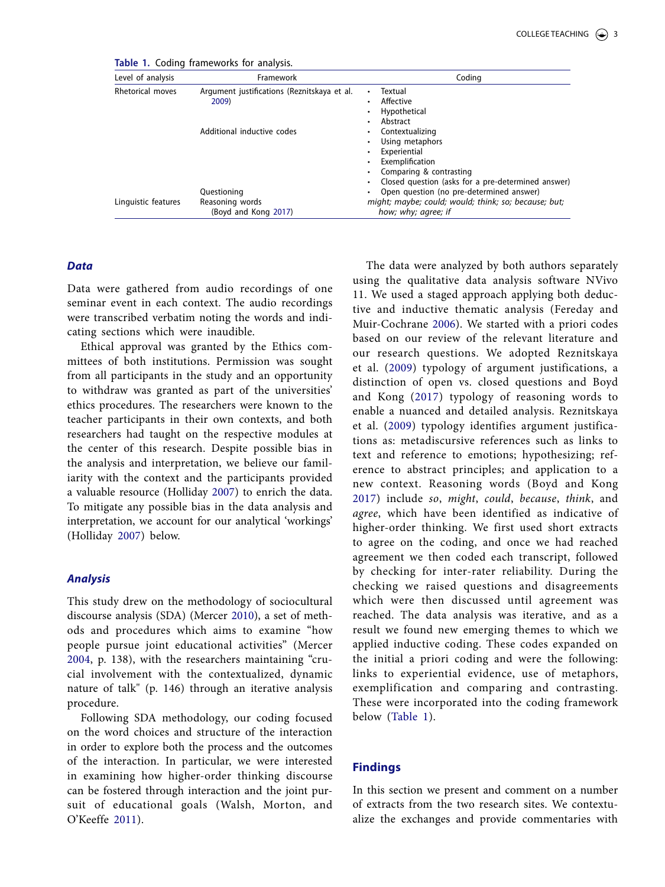<span id="page-4-0"></span>**Table 1.** Coding frameworks for analysis.

| Level of analysis   | Framework                                              | Coding                                                                                                                                                                        |
|---------------------|--------------------------------------------------------|-------------------------------------------------------------------------------------------------------------------------------------------------------------------------------|
| Rhetorical moves    | Argument justifications (Reznitskaya et al.<br>2009)   | Textual<br>٠<br>Affective<br>٠<br>Hypothetical<br>٠<br>Abstract<br>٠                                                                                                          |
|                     | Additional inductive codes                             | Contextualizing<br>٠<br>Using metaphors<br>Experiential<br>٠<br>Exemplification<br>٠<br>Comparing & contrasting                                                               |
| Linguistic features | Questioning<br>Reasoning words<br>(Boyd and Kong 2017) | Closed question (asks for a pre-determined answer)<br>Open question (no pre-determined answer)<br>might; maybe; could; would; think; so; because; but;<br>how; why; agree; if |

#### *Data*

Data were gathered from audio recordings of one seminar event in each context. The audio recordings were transcribed verbatim noting the words and indicating sections which were inaudible.

Ethical approval was granted by the Ethics committees of both institutions. Permission was sought from all participants in the study and an opportunity to withdraw was granted as part of the universities' ethics procedures. The researchers were known to the teacher participants in their own contexts, and both researchers had taught on the respective modules at the center of this research. Despite possible bias in the analysis and interpretation, we believe our familiarity with the context and the participants provided a valuable resource (Holliday [2007\)](#page-8-11) to enrich the data. To mitigate any possible bias in the data analysis and interpretation, we account for our analytical 'workings' (Holliday [2007\)](#page-8-12) below.

## <span id="page-4-2"></span>*Analysis*

<span id="page-4-4"></span><span id="page-4-3"></span>This study drew on the methodology of sociocultural discourse analysis (SDA) (Mercer [2010\)](#page-8-13), a set of methods and procedures which aims to examine "how people pursue joint educational activities" (Mercer [2004,](#page-8-14) p. 138), with the researchers maintaining "crucial involvement with the contextualized, dynamic nature of talk" (p. 146) through an iterative analysis procedure.

<span id="page-4-5"></span>Following SDA methodology, our coding focused on the word choices and structure of the interaction in order to explore both the process and the outcomes of the interaction. In particular, we were interested in examining how higher-order thinking discourse can be fostered through interaction and the joint pursuit of educational goals (Walsh, Morton, and O'Keeffe [2011](#page-9-9)).

<span id="page-4-1"></span>The data were analyzed by both authors separately using the qualitative data analysis software NVivo 11. We used a staged approach applying both deductive and inductive thematic analysis (Fereday and Muir-Cochrane [2006\)](#page-8-15). We started with a priori codes based on our review of the relevant literature and our research questions. We adopted Reznitskaya et al. [\(2009\)](#page-9-6) typology of argument justifications, a distinction of open vs. closed questions and Boyd and Kong ([2017](#page-8-6)) typology of reasoning words to enable a nuanced and detailed analysis. Reznitskaya et al. ([2009\)](#page-9-6) typology identifies argument justifications as: metadiscursive references such as links to text and reference to emotions; hypothesizing; reference to abstract principles; and application to a new context. Reasoning words (Boyd and Kong [2017](#page-8-6)) include *so*, *might*, *could*, *because*, *think*, and *agree*, which have been identified as indicative of higher-order thinking. We first used short extracts to agree on the coding, and once we had reached agreement we then coded each transcript, followed by checking for inter-rater reliability. During the checking we raised questions and disagreements which were then discussed until agreement was reached. The data analysis was iterative, and as a result we found new emerging themes to which we applied inductive coding. These codes expanded on the initial a priori coding and were the following: links to experiential evidence, use of metaphors, exemplification and comparing and contrasting. These were incorporated into the coding framework below ([Table 1\)](#page-4-0).

# **Findings**

In this section we present and comment on a number of extracts from the two research sites. We contextualize the exchanges and provide commentaries with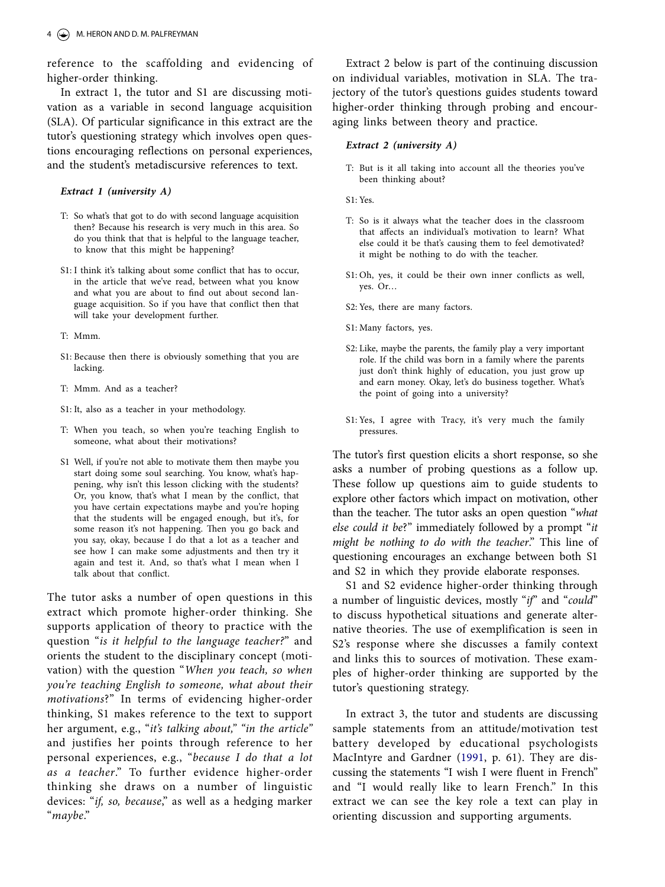reference to the scaffolding and evidencing of higher-order thinking.

In extract 1, the tutor and S1 are discussing motivation as a variable in second language acquisition (SLA). Of particular significance in this extract are the tutor's questioning strategy which involves open questions encouraging reflections on personal experiences, and the student's metadiscursive references to text.

#### *Extract 1 (university A)*

- T: So what's that got to do with second language acquisition then? Because his research is very much in this area. So do you think that that is helpful to the language teacher, to know that this might be happening?
- S1: I think it's talking about some conflict that has to occur, in the article that we've read, between what you know and what you are about to find out about second language acquisition. So if you have that conflict then that will take your development further.
- T: Mmm.
- S1: Because then there is obviously something that you are lacking.
- T: Mmm. And as a teacher?
- S1: It, also as a teacher in your methodology.
- T: When you teach, so when you're teaching English to someone, what about their motivations?
- S1 Well, if you're not able to motivate them then maybe you start doing some soul searching. You know, what's happening, why isn't this lesson clicking with the students? Or, you know, that's what I mean by the conflict, that you have certain expectations maybe and you're hoping that the students will be engaged enough, but it's, for some reason it's not happening. Then you go back and you say, okay, because I do that a lot as a teacher and see how I can make some adjustments and then try it again and test it. And, so that's what I mean when I talk about that conflict.

The tutor asks a number of open questions in this extract which promote higher-order thinking. She supports application of theory to practice with the question "*is it helpful to the language teacher?*" and orients the student to the disciplinary concept (motivation) with the question "*When you teach, so when you're teaching English to someone, what about their motivations*?" In terms of evidencing higher-order thinking, S1 makes reference to the text to support her argument, e.g., "*it's talking about," "in the article"* and justifies her points through reference to her personal experiences, e.g., "*because I do that a lot as a teacher*." To further evidence higher-order thinking she draws on a number of linguistic devices: "*if, so, because*," as well as a hedging marker "*maybe*."

Extract 2 below is part of the continuing discussion on individual variables, motivation in SLA. The trajectory of the tutor's questions guides students toward higher-order thinking through probing and encouraging links between theory and practice.

#### *Extract 2 (university A)*

T: But is it all taking into account all the theories you've been thinking about?

S1: Yes.

- T: So is it always what the teacher does in the classroom that affects an individual's motivation to learn? What else could it be that's causing them to feel demotivated? it might be nothing to do with the teacher.
- S1: Oh, yes, it could be their own inner conflicts as well, yes. Or…
- S2: Yes, there are many factors.
- S1: Many factors, yes.
- S2: Like, maybe the parents, the family play a very important role. If the child was born in a family where the parents just don't think highly of education, you just grow up and earn money. Okay, let's do business together. What's the point of going into a university?
- S1: Yes, I agree with Tracy, it's very much the family pressures.

The tutor's first question elicits a short response, so she asks a number of probing questions as a follow up. These follow up questions aim to guide students to explore other factors which impact on motivation, other than the teacher. The tutor asks an open question "*what else could it be*?" immediately followed by a prompt "*it might be nothing to do with the teacher*." This line of questioning encourages an exchange between both S1 and S2 in which they provide elaborate responses.

S1 and S2 evidence higher-order thinking through a number of linguistic devices, mostly "*if*" and "*could*" to discuss hypothetical situations and generate alternative theories. The use of exemplification is seen in S2's response where she discusses a family context and links this to sources of motivation. These examples of higher-order thinking are supported by the tutor's questioning strategy.

<span id="page-5-0"></span>In extract 3, the tutor and students are discussing sample statements from an attitude/motivation test battery developed by educational psychologists MacIntyre and Gardner ([1991](#page-8-16), p. 61). They are discussing the statements "I wish I were fluent in French" and "I would really like to learn French." In this extract we can see the key role a text can play in orienting discussion and supporting arguments.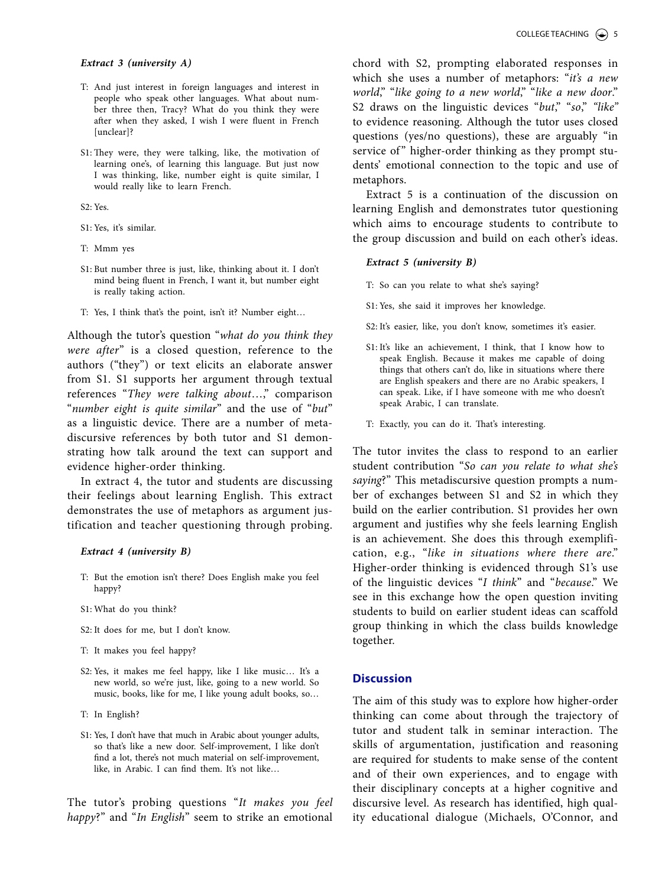#### *Extract 3 (university A)*

- T: And just interest in foreign languages and interest in people who speak other languages. What about number three then, Tracy? What do you think they were after when they asked, I wish I were fluent in French [unclear]?
- S1: They were, they were talking, like, the motivation of learning one's, of learning this language. But just now I was thinking, like, number eight is quite similar, I would really like to learn French.

S2: Yes.

- S1: Yes, it's similar.
- T: Mmm yes
- S1: But number three is just, like, thinking about it. I don't mind being fluent in French, I want it, but number eight is really taking action.
- T: Yes, I think that's the point, isn't it? Number eight…

Although the tutor's question "*what do you think they were after*" is a closed question, reference to the authors ("they") or text elicits an elaborate answer from S1. S1 supports her argument through textual references "*They were talking about*…," comparison "*number eight is quite similar*" and the use of "*but*" as a linguistic device. There are a number of metadiscursive references by both tutor and S1 demonstrating how talk around the text can support and evidence higher-order thinking.

In extract 4, the tutor and students are discussing their feelings about learning English. This extract demonstrates the use of metaphors as argument justification and teacher questioning through probing.

#### *Extract 4 (university B)*

- T: But the emotion isn't there? Does English make you feel happy?
- S1: What do you think?
- S2: It does for me, but I don't know.
- T: It makes you feel happy?
- S2: Yes, it makes me feel happy, like I like music... It's a new world, so we're just, like, going to a new world. So music, books, like for me, I like young adult books, so…
- T: In English?
- S1: Yes, I don't have that much in Arabic about younger adults, so that's like a new door. Self-improvement, I like don't find a lot, there's not much material on self-improvement, like, in Arabic. I can find them. It's not like…

The tutor's probing questions "*It makes you feel happy*?" and "*In English*" seem to strike an emotional

chord with S2, prompting elaborated responses in which she uses a number of metaphors: "*it's a new world*," "*like going to a new world*," "*like a new door*." S2 draws on the linguistic devices "*but*," "*so*," *"like"* to evidence reasoning. Although the tutor uses closed questions (yes/no questions), these are arguably "in service of" higher-order thinking as they prompt students' emotional connection to the topic and use of metaphors.

Extract 5 is a continuation of the discussion on learning English and demonstrates tutor questioning which aims to encourage students to contribute to the group discussion and build on each other's ideas.

#### *Extract 5 (university B)*

- T: So can you relate to what she's saying?
- S1: Yes, she said it improves her knowledge.
- S2: It's easier, like, you don't know, sometimes it's easier.
- S1: It's like an achievement, I think, that I know how to speak English. Because it makes me capable of doing things that others can't do, like in situations where there are English speakers and there are no Arabic speakers, I can speak. Like, if I have someone with me who doesn't speak Arabic, I can translate.
- T: Exactly, you can do it. That's interesting.

The tutor invites the class to respond to an earlier student contribution "*So can you relate to what she's saying*?" This metadiscursive question prompts a number of exchanges between S1 and S2 in which they build on the earlier contribution. S1 provides her own argument and justifies why she feels learning English is an achievement. She does this through exemplification, e.g., "*like in situations where there are*." Higher-order thinking is evidenced through S1's use of the linguistic devices "*I think*" and "*because*." We see in this exchange how the open question inviting students to build on earlier student ideas can scaffold group thinking in which the class builds knowledge together.

# **Discussion**

The aim of this study was to explore how higher-order thinking can come about through the trajectory of tutor and student talk in seminar interaction. The skills of argumentation, justification and reasoning are required for students to make sense of the content and of their own experiences, and to engage with their disciplinary concepts at a higher cognitive and discursive level. As research has identified, high quality educational dialogue (Michaels, O'Connor, and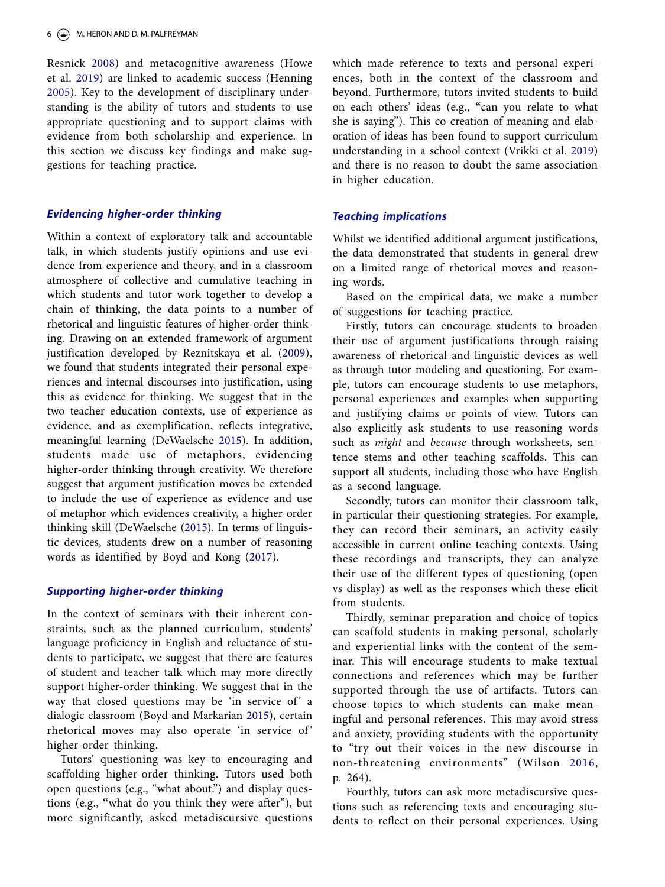Resnick [2008\)](#page-9-10) and metacognitive awareness (Howe et al. [2019\)](#page-8-4) are linked to academic success (Henning [2005\)](#page-8-17). Key to the development of disciplinary understanding is the ability of tutors and students to use appropriate questioning and to support claims with evidence from both scholarship and experience. In this section we discuss key findings and make suggestions for teaching practice.

## *Evidencing higher-order thinking*

Within a context of exploratory talk and accountable talk, in which students justify opinions and use evidence from experience and theory, and in a classroom atmosphere of collective and cumulative teaching in which students and tutor work together to develop a chain of thinking, the data points to a number of rhetorical and linguistic features of higher-order thinking. Drawing on an extended framework of argument justification developed by Reznitskaya et al. [\(2009\)](#page-9-6), we found that students integrated their personal experiences and internal discourses into justification, using this as evidence for thinking. We suggest that in the two teacher education contexts, use of experience as evidence, and as exemplification, reflects integrative, meaningful learning (DeWaelsche [2015](#page-8-18)). In addition, students made use of metaphors, evidencing higher-order thinking through creativity. We therefore suggest that argument justification moves be extended to include the use of experience as evidence and use of metaphor which evidences creativity, a higher-order thinking skill (DeWaelsche ([2015](#page-8-19)). In terms of linguistic devices, students drew on a number of reasoning words as identified by Boyd and Kong ([2017](#page-8-20)).

## <span id="page-7-0"></span>*Supporting higher-order thinking*

In the context of seminars with their inherent constraints, such as the planned curriculum, students' language proficiency in English and reluctance of students to participate, we suggest that there are features of student and teacher talk which may more directly support higher-order thinking. We suggest that in the way that closed questions may be 'in service of' a dialogic classroom (Boyd and Markarian [2015](#page-8-21)), certain rhetorical moves may also operate 'in service of ' higher-order thinking.

Tutors' questioning was key to encouraging and scaffolding higher-order thinking. Tutors used both open questions (e.g., "what about.") and display questions (e.g., **"**what do you think they were after"), but more significantly, asked metadiscursive questions which made reference to texts and personal experiences, both in the context of the classroom and beyond. Furthermore, tutors invited students to build on each others' ideas (e.g., **"**can you relate to what she is saying"). This co-creation of meaning and elaboration of ideas has been found to support curriculum understanding in a school context (Vrikki et al. [2019](#page-9-11)) and there is no reason to doubt the same association in higher education.

## <span id="page-7-1"></span>*Teaching implications*

Whilst we identified additional argument justifications, the data demonstrated that students in general drew on a limited range of rhetorical moves and reasoning words.

Based on the empirical data, we make a number of suggestions for teaching practice.

Firstly, tutors can encourage students to broaden their use of argument justifications through raising awareness of rhetorical and linguistic devices as well as through tutor modeling and questioning. For example, tutors can encourage students to use metaphors, personal experiences and examples when supporting and justifying claims or points of view. Tutors can also explicitly ask students to use reasoning words such as *might* and *because* through worksheets, sentence stems and other teaching scaffolds. This can support all students, including those who have English as a second language.

Secondly, tutors can monitor their classroom talk, in particular their questioning strategies. For example, they can record their seminars, an activity easily accessible in current online teaching contexts. Using these recordings and transcripts, they can analyze their use of the different types of questioning (open vs display) as well as the responses which these elicit from students.

Thirdly, seminar preparation and choice of topics can scaffold students in making personal, scholarly and experiential links with the content of the seminar. This will encourage students to make textual connections and references which may be further supported through the use of artifacts. Tutors can choose topics to which students can make meaningful and personal references. This may avoid stress and anxiety, providing students with the opportunity to "try out their voices in the new discourse in non-threatening environments" (Wilson [2016,](#page-9-12) p. 264).

<span id="page-7-2"></span>Fourthly, tutors can ask more metadiscursive questions such as referencing texts and encouraging students to reflect on their personal experiences. Using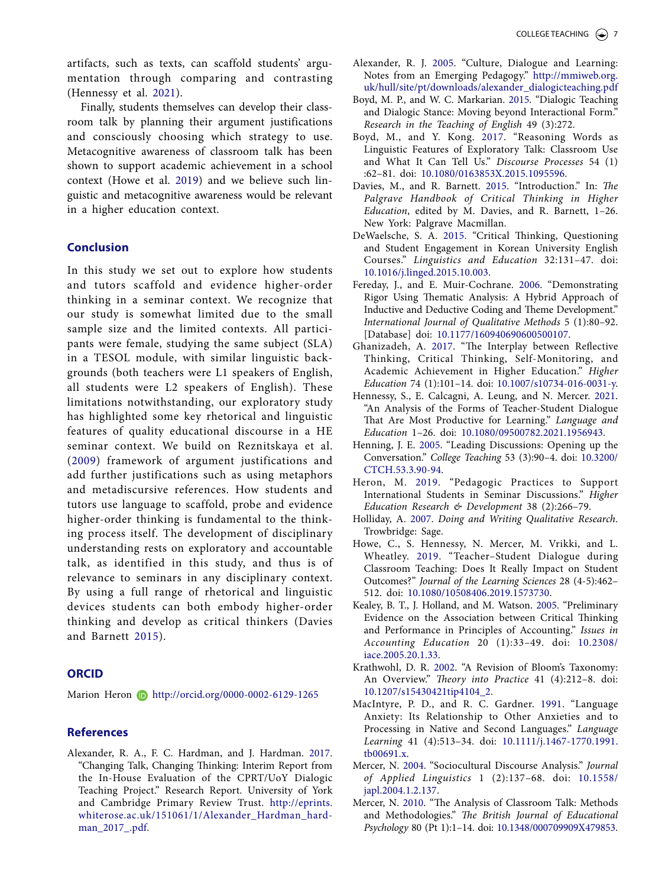artifacts, such as texts, can scaffold students' argumentation through comparing and contrasting (Hennessy et al. [2021](#page-8-22)).

Finally, students themselves can develop their classroom talk by planning their argument justifications and consciously choosing which strategy to use. Metacognitive awareness of classroom talk has been shown to support academic achievement in a school context (Howe et al. [2019](#page-8-23)) and we believe such linguistic and metacognitive awareness would be relevant in a higher education context.

# **Conclusion**

In this study we set out to explore how students and tutors scaffold and evidence higher-order thinking in a seminar context. We recognize that our study is somewhat limited due to the small sample size and the limited contexts. All participants were female, studying the same subject (SLA) in a TESOL module, with similar linguistic backgrounds (both teachers were L1 speakers of English, all students were L2 speakers of English). These limitations notwithstanding, our exploratory study has highlighted some key rhetorical and linguistic features of quality educational discourse in a HE seminar context. We build on Reznitskaya et al. ([2009\)](#page-9-6) framework of argument justifications and add further justifications such as using metaphors and metadiscursive references. How students and tutors use language to scaffold, probe and evidence higher-order thinking is fundamental to the thinking process itself. The development of disciplinary understanding rests on exploratory and accountable talk, as identified in this study, and thus is of relevance to seminars in any disciplinary context. By using a full range of rhetorical and linguistic devices students can both embody higher-order thinking and develop as critical thinkers (Davies and Barnett [2015\)](#page-8-24).

# <span id="page-8-25"></span>**ORCID**

Marion Heron **b** <http://orcid.org/0000-0002-6129-1265>

# **References**

<span id="page-8-1"></span>Alexander, R. A., F. C. Hardman, and J. Hardman. [2017.](#page-2-2) "Changing Talk, Changing Thinking: Interim Report from the In-House Evaluation of the CPRT/UoY Dialogic Teaching Project." Research Report. University of York and Cambridge Primary Review Trust. [http://eprints.](http://eprints.whiterose.ac.uk/151061/1/Alexander_Hardman_hardman_2017_.pdf) [whiterose.ac.uk/151061/1/Alexander\\_Hardman\\_hard](http://eprints.whiterose.ac.uk/151061/1/Alexander_Hardman_hardman_2017_.pdf)[man\\_2017\\_.pdf](http://eprints.whiterose.ac.uk/151061/1/Alexander_Hardman_hardman_2017_.pdf).

- <span id="page-8-5"></span>Alexander, R. J. [2005](#page-2-3). "Culture, Dialogue and Learning: Notes from an Emerging Pedagogy." [http://mmiweb.org.](http://mmiweb.org.uk/hull/site/pt/downloads/alexander_dialogicteaching.pdf) [uk/hull/site/pt/downloads/alexander\\_dialogicteaching.pdf](http://mmiweb.org.uk/hull/site/pt/downloads/alexander_dialogicteaching.pdf)
- <span id="page-8-21"></span><span id="page-8-7"></span>Boyd, M. P., and W. C. Markarian. [2015.](#page-3-0) "Dialogic Teaching and Dialogic Stance: Moving beyond Interactional Form." *Research in the Teaching of English* 49 (3):272.
- <span id="page-8-20"></span><span id="page-8-6"></span>Boyd, M., and Y. Kong. [2017.](#page-3-1) "Reasoning Words as Linguistic Features of Exploratory Talk: Classroom Use and What It Can Tell Us." *Discourse Processes* 54 (1) :62–81. doi: [10.1080/0163853X.2015.1095596.](https://doi.org/10.1080/0163853X.2015.1095596)
- <span id="page-8-24"></span>Davies, M., and R. Barnett. [2015.](#page-8-25) "Introduction." In: *The Palgrave Handbook of Critical Thinking in Higher Education*, edited by M. Davies, and R. Barnett, 1–26. New York: Palgrave Macmillan.
- <span id="page-8-19"></span><span id="page-8-18"></span>DeWaelsche, S. A. [2015.](#page-7-0) "Critical Thinking, Questioning and Student Engagement in Korean University English Courses." *Linguistics and Education* 32:131–47. doi: [10.1016/j.linged.2015.10.003](https://doi.org/10.1016/j.linged.2015.10.003).
- <span id="page-8-15"></span>Fereday, J., and E. Muir-Cochrane. [2006](#page-4-1). "Demonstrating Rigor Using Thematic Analysis: A Hybrid Approach of Inductive and Deductive Coding and Theme Development." *International Journal of Qualitative Methods* 5 (1):80–92. [Database] doi: [10.1177/160940690600500107.](https://doi.org/10.1177/160940690600500107)
- <span id="page-8-3"></span>Ghanizadeh, A. [2017.](#page-2-4) "The Interplay between Reflective Thinking, Critical Thinking, Self-Monitoring, and Academic Achievement in Higher Education." *Higher Education* 74 (1):101–14. doi: [10.1007/s10734-016-0031-y.](https://doi.org/10.1007/s10734-016-0031-y)
- <span id="page-8-22"></span><span id="page-8-9"></span>Hennessy, S., E. Calcagni, A. Leung, and N. Mercer. [2021.](#page-3-2) "An Analysis of the Forms of Teacher-Student Dialogue That Are Most Productive for Learning." *Language and Education* 1–26. doi: [10.1080/09500782.2021.1956943.](https://doi.org/10.1080/09500782.2021.1956943)
- <span id="page-8-17"></span><span id="page-8-8"></span>Henning, J. E. [2005](#page-3-3). "Leading Discussions: Opening up the Conversation." *College Teaching* 53 (3):90–4. doi: [10.3200/](https://doi.org/10.3200/CTCH.53.3.90-94) [CTCH.53.3.90-94](https://doi.org/10.3200/CTCH.53.3.90-94).
- <span id="page-8-10"></span>Heron, M. [2019](#page-3-4). "Pedagogic Practices to Support International Students in Seminar Discussions." *Higher Education Research & Development* 38 (2):266–79.
- <span id="page-8-12"></span><span id="page-8-11"></span>Holliday, A. [2007](#page-4-2). *Doing and Writing Qualitative Research*. Trowbridge: Sage.
- <span id="page-8-23"></span><span id="page-8-4"></span>Howe, C., S. Hennessy, N. Mercer, M. Vrikki, and L. Wheatley. [2019.](#page-2-5) "Teacher–Student Dialogue during Classroom Teaching: Does It Really Impact on Student Outcomes?" *Journal of the Learning Sciences* 28 (4-5):462– 512. doi: [10.1080/10508406.2019.1573730.](https://doi.org/10.1080/10508406.2019.1573730)
- <span id="page-8-2"></span>Kealey, B. T., J. Holland, and M. Watson. [2005](#page-2-6). "Preliminary Evidence on the Association between Critical Thinking and Performance in Principles of Accounting." *Issues in Accounting Education* 20 (1):33–49. doi: [10.2308/](https://doi.org/10.2308/iace.2005.20.1.33) [iace.2005.20.1.33](https://doi.org/10.2308/iace.2005.20.1.33).
- <span id="page-8-0"></span>Krathwohl, D. R. [2002](#page-2-7). "A Revision of Bloom's Taxonomy: An Overview." *Theory into Practice* 41 (4):212–8. doi: [10.1207/s15430421tip4104\\_2](https://doi.org/10.1207/s15430421tip4104_2).
- <span id="page-8-16"></span>MacIntyre, P. D., and R. C. Gardner. [1991](#page-5-0). "Language Anxiety: Its Relationship to Other Anxieties and to Processing in Native and Second Languages." *Language Learning* 41 (4):513–34. doi: [10.1111/j.1467-1770.1991.](https://doi.org/10.1111/j.1467-1770.1991.tb00691.x) [tb00691.x](https://doi.org/10.1111/j.1467-1770.1991.tb00691.x).
- <span id="page-8-14"></span>Mercer, N. [2004](#page-4-3). "Sociocultural Discourse Analysis." *Journal of Applied Linguistics* 1 (2):137–68. doi: [10.1558/](https://doi.org/10.1558/japl.2004.1.2.137) [japl.2004.1.2.137](https://doi.org/10.1558/japl.2004.1.2.137).
- <span id="page-8-13"></span>Mercer, N. [2010](#page-4-4). "The Analysis of Classroom Talk: Methods and Methodologies." *The British Journal of Educational Psychology* 80 (Pt 1):1–14. doi: [10.1348/000709909X479853.](https://doi.org/10.1348/000709909X479853)